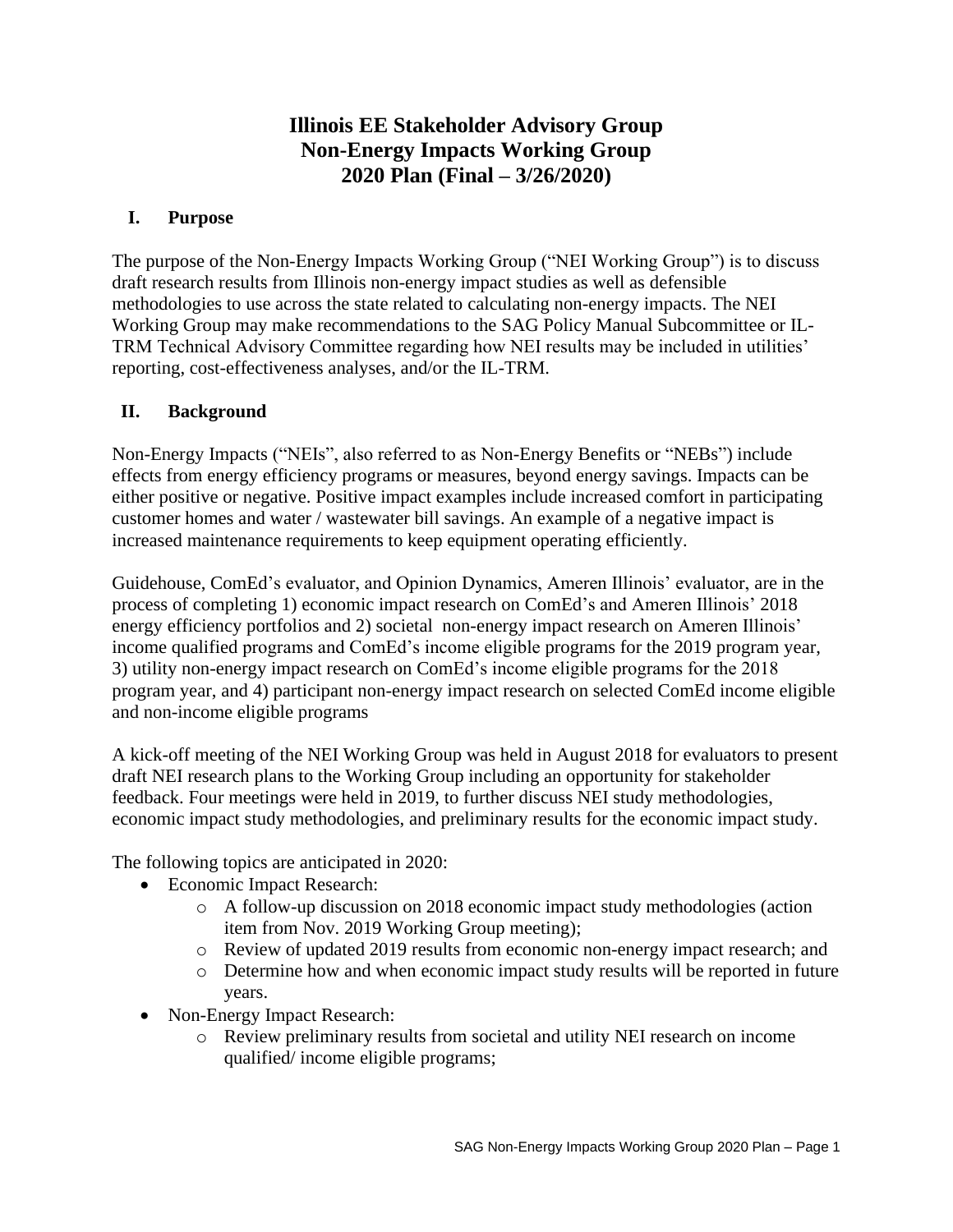# **Illinois EE Stakeholder Advisory Group Non-Energy Impacts Working Group 2020 Plan (Final – 3/26/2020)**

### **I. Purpose**

The purpose of the Non-Energy Impacts Working Group ("NEI Working Group") is to discuss draft research results from Illinois non-energy impact studies as well as defensible methodologies to use across the state related to calculating non-energy impacts. The NEI Working Group may make recommendations to the SAG Policy Manual Subcommittee or IL-TRM Technical Advisory Committee regarding how NEI results may be included in utilities' reporting, cost-effectiveness analyses, and/or the IL-TRM.

## **II. Background**

Non-Energy Impacts ("NEIs", also referred to as Non-Energy Benefits or "NEBs") include effects from energy efficiency programs or measures, beyond energy savings. Impacts can be either positive or negative. Positive impact examples include increased comfort in participating customer homes and water / wastewater bill savings. An example of a negative impact is increased maintenance requirements to keep equipment operating efficiently.

Guidehouse, ComEd's evaluator, and Opinion Dynamics, Ameren Illinois' evaluator, are in the process of completing 1) economic impact research on ComEd's and Ameren Illinois' 2018 energy efficiency portfolios and 2) societal non-energy impact research on Ameren Illinois' income qualified programs and ComEd's income eligible programs for the 2019 program year, 3) utility non-energy impact research on ComEd's income eligible programs for the 2018 program year, and 4) participant non-energy impact research on selected ComEd income eligible and non-income eligible programs

A kick-off meeting of the NEI Working Group was held in August 2018 for evaluators to present draft NEI research plans to the Working Group including an opportunity for stakeholder feedback. Four meetings were held in 2019, to further discuss NEI study methodologies, economic impact study methodologies, and preliminary results for the economic impact study.

The following topics are anticipated in 2020:

- Economic Impact Research:
	- o A follow-up discussion on 2018 economic impact study methodologies (action item from Nov. 2019 Working Group meeting);
	- o Review of updated 2019 results from economic non-energy impact research; and
	- o Determine how and when economic impact study results will be reported in future years.
- Non-Energy Impact Research:
	- o Review preliminary results from societal and utility NEI research on income qualified/ income eligible programs;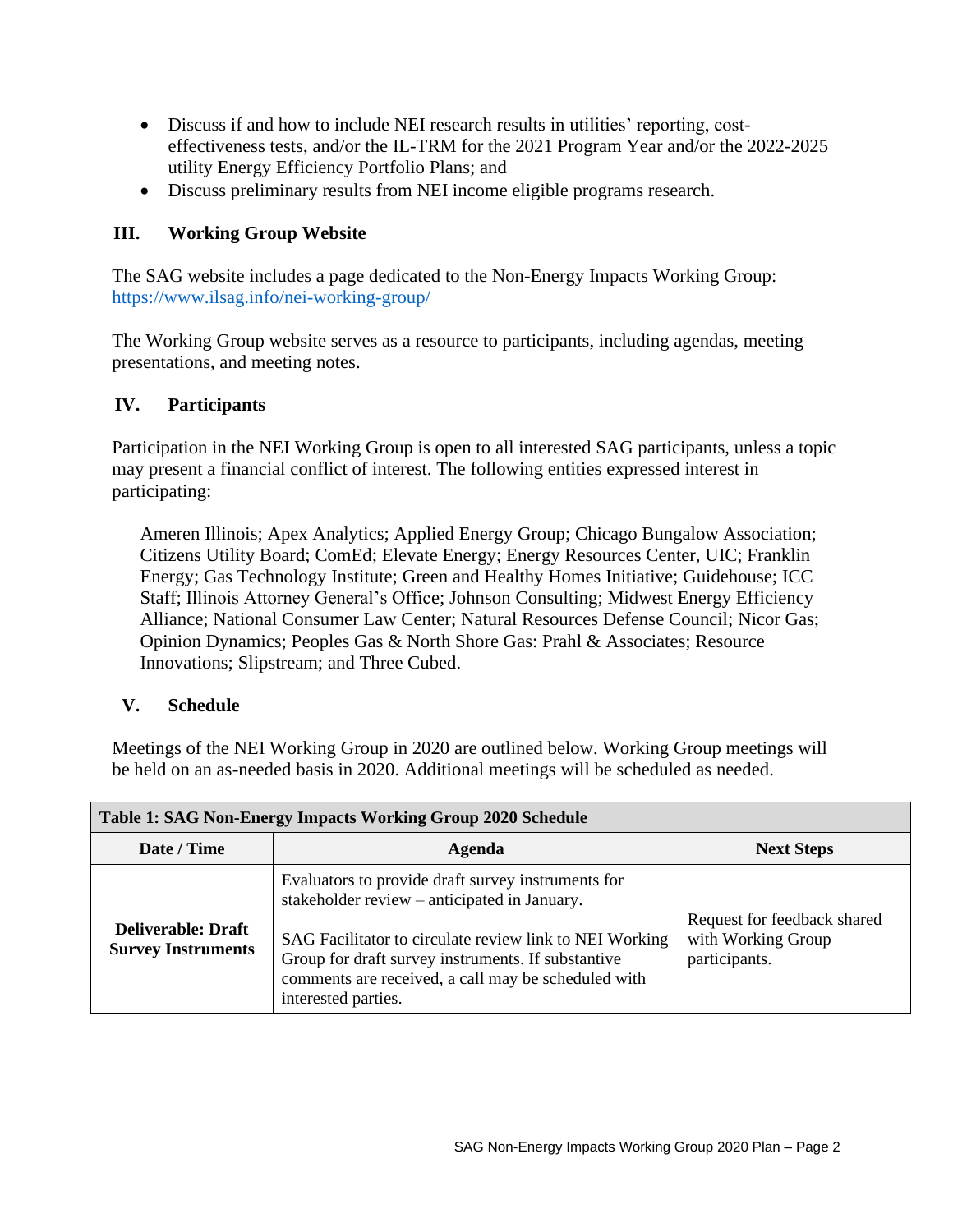- Discuss if and how to include NEI research results in utilities' reporting, costeffectiveness tests, and/or the IL-TRM for the 2021 Program Year and/or the 2022-2025 utility Energy Efficiency Portfolio Plans; and
- Discuss preliminary results from NEI income eligible programs research.

## **III. Working Group Website**

The SAG website includes a page dedicated to the Non-Energy Impacts Working Group: <https://www.ilsag.info/nei-working-group/>

The Working Group website serves as a resource to participants, including agendas, meeting presentations, and meeting notes.

#### **IV. Participants**

Participation in the NEI Working Group is open to all interested SAG participants, unless a topic may present a financial conflict of interest. The following entities expressed interest in participating:

Ameren Illinois; Apex Analytics; Applied Energy Group; Chicago Bungalow Association; Citizens Utility Board; ComEd; Elevate Energy; Energy Resources Center, UIC; Franklin Energy; Gas Technology Institute; Green and Healthy Homes Initiative; Guidehouse; ICC Staff; Illinois Attorney General's Office; Johnson Consulting; Midwest Energy Efficiency Alliance; National Consumer Law Center; Natural Resources Defense Council; Nicor Gas; Opinion Dynamics; Peoples Gas & North Shore Gas: Prahl & Associates; Resource Innovations; Slipstream; and Three Cubed.

#### **V. Schedule**

Meetings of the NEI Working Group in 2020 are outlined below. Working Group meetings will be held on an as-needed basis in 2020. Additional meetings will be scheduled as needed.

| <b>Table 1: SAG Non-Energy Impacts Working Group 2020 Schedule</b> |                                                                                                                                                                                                                                                                                                   |                                                                    |  |
|--------------------------------------------------------------------|---------------------------------------------------------------------------------------------------------------------------------------------------------------------------------------------------------------------------------------------------------------------------------------------------|--------------------------------------------------------------------|--|
| Date / Time                                                        | Agenda                                                                                                                                                                                                                                                                                            | <b>Next Steps</b>                                                  |  |
| <b>Deliverable: Draft</b><br><b>Survey Instruments</b>             | Evaluators to provide draft survey instruments for<br>stakeholder review – anticipated in January.<br>SAG Facilitator to circulate review link to NEI Working<br>Group for draft survey instruments. If substantive<br>comments are received, a call may be scheduled with<br>interested parties. | Request for feedback shared<br>with Working Group<br>participants. |  |